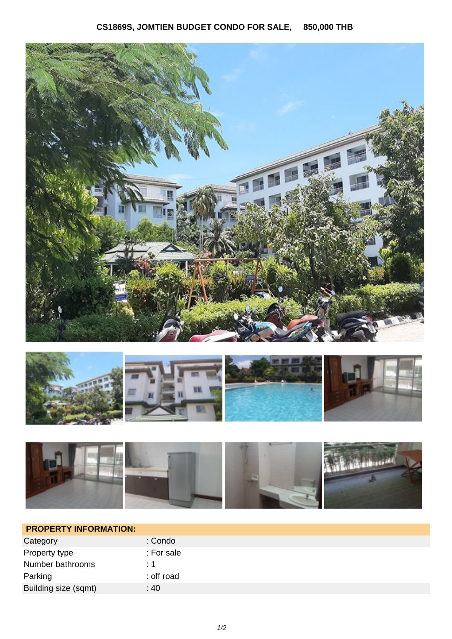





| <b>PROPERTY INFORMATION:</b> |            |
|------------------------------|------------|
| Category                     | : Condo    |
| Property type                | : For sale |
| Number bathrooms             | $\div$ 1   |
| Parking                      | : off road |
| Building size (sqmt)         | :40        |